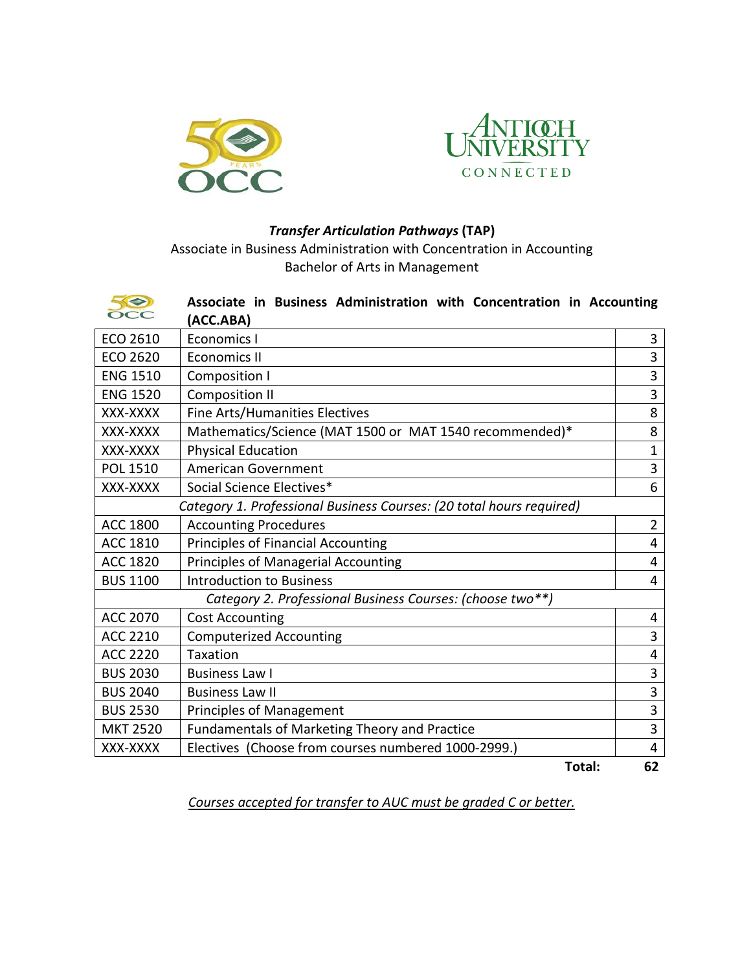



## *Transfer Articulation Pathways* **(TAP)**

Associate in Business Administration with Concentration in Accounting Bachelor of Arts in Management

| 50<br>$\alpha$                                                       | Associate in Business Administration with Concentration in Accounting<br>(ACC.ABA) |                |  |
|----------------------------------------------------------------------|------------------------------------------------------------------------------------|----------------|--|
| ECO 2610                                                             | <b>Economics I</b>                                                                 | 3              |  |
| ECO 2620                                                             | <b>Economics II</b>                                                                | 3              |  |
| <b>ENG 1510</b>                                                      | <b>Composition I</b>                                                               |                |  |
| <b>ENG 1520</b>                                                      | <b>Composition II</b>                                                              |                |  |
| XXX-XXXX                                                             | Fine Arts/Humanities Electives                                                     | 8              |  |
| XXX-XXXX                                                             | Mathematics/Science (MAT 1500 or MAT 1540 recommended)*                            | 8              |  |
| XXX-XXXX                                                             | <b>Physical Education</b>                                                          | $\mathbf{1}$   |  |
| <b>POL 1510</b>                                                      | <b>American Government</b>                                                         | 3              |  |
| XXX-XXXX                                                             | Social Science Electives*                                                          | 6              |  |
| Category 1. Professional Business Courses: (20 total hours required) |                                                                                    |                |  |
| <b>ACC 1800</b>                                                      | <b>Accounting Procedures</b>                                                       | $\overline{2}$ |  |
| <b>ACC 1810</b>                                                      | <b>Principles of Financial Accounting</b>                                          | $\overline{4}$ |  |
| <b>ACC 1820</b>                                                      | Principles of Managerial Accounting                                                | 4              |  |
| <b>BUS 1100</b>                                                      | <b>Introduction to Business</b>                                                    | 4              |  |
| Category 2. Professional Business Courses: (choose two**)            |                                                                                    |                |  |
| <b>ACC 2070</b>                                                      | <b>Cost Accounting</b>                                                             | 4              |  |
| <b>ACC 2210</b>                                                      | <b>Computerized Accounting</b>                                                     | 3              |  |
| <b>ACC 2220</b>                                                      | <b>Taxation</b>                                                                    | 4              |  |
| <b>BUS 2030</b>                                                      | <b>Business Law I</b>                                                              | 3              |  |
| <b>BUS 2040</b>                                                      | <b>Business Law II</b>                                                             | 3              |  |
| <b>BUS 2530</b>                                                      | <b>Principles of Management</b>                                                    | 3              |  |
| <b>MKT 2520</b>                                                      | Fundamentals of Marketing Theory and Practice                                      | 3              |  |
| XXX-XXXX                                                             | Electives (Choose from courses numbered 1000-2999.)                                | $\overline{4}$ |  |
|                                                                      | Total:                                                                             | 62             |  |

*Courses accepted for transfer to AUC must be graded C or better.*